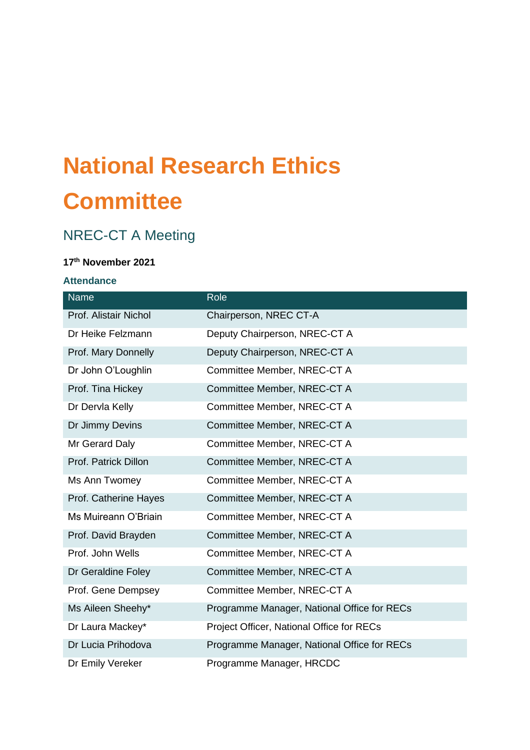# **National Research Ethics Committee**

# NREC-CT A Meeting

# **17th November 2021**

# **Attendance**

| Name                  | Role                                        |
|-----------------------|---------------------------------------------|
| Prof. Alistair Nichol | Chairperson, NREC CT-A                      |
| Dr Heike Felzmann     | Deputy Chairperson, NREC-CT A               |
| Prof. Mary Donnelly   | Deputy Chairperson, NREC-CT A               |
| Dr John O'Loughlin    | Committee Member, NREC-CT A                 |
| Prof. Tina Hickey     | Committee Member, NREC-CT A                 |
| Dr Dervla Kelly       | Committee Member, NREC-CT A                 |
| Dr Jimmy Devins       | Committee Member, NREC-CT A                 |
| Mr Gerard Daly        | Committee Member, NREC-CT A                 |
| Prof. Patrick Dillon  | Committee Member, NREC-CT A                 |
| Ms Ann Twomey         | Committee Member, NREC-CT A                 |
| Prof. Catherine Hayes | Committee Member, NREC-CT A                 |
| Ms Muireann O'Briain  | Committee Member, NREC-CT A                 |
| Prof. David Brayden   | Committee Member, NREC-CT A                 |
| Prof. John Wells      | Committee Member, NREC-CT A                 |
| Dr Geraldine Foley    | Committee Member, NREC-CT A                 |
| Prof. Gene Dempsey    | Committee Member, NREC-CT A                 |
| Ms Aileen Sheehy*     | Programme Manager, National Office for RECs |
| Dr Laura Mackey*      | Project Officer, National Office for RECs   |
| Dr Lucia Prihodova    | Programme Manager, National Office for RECs |
| Dr Emily Vereker      | Programme Manager, HRCDC                    |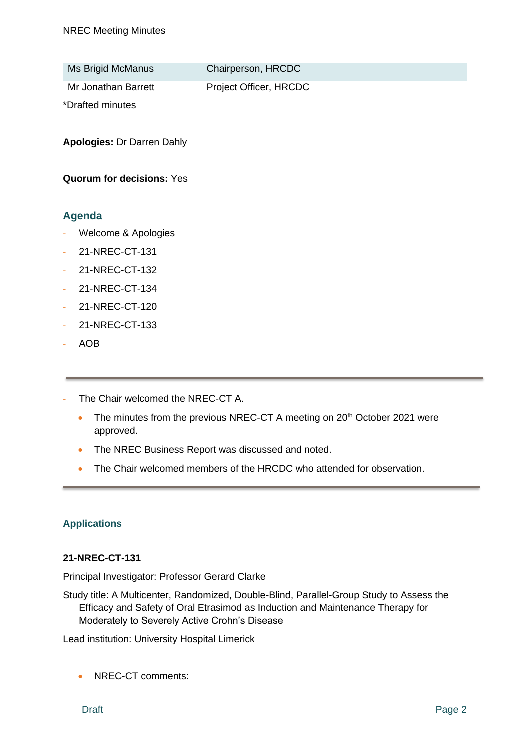| Ms Brigid McManus   | Chairperson, HRCDC     |
|---------------------|------------------------|
| Mr Jonathan Barrett | Project Officer, HRCDC |

\*Drafted minutes

**Apologies:** Dr Darren Dahly

**Quorum for decisions:** Yes

# **Agenda**

- Welcome & Apologies
- 21-NREC-CT-131
- 21-NREC-CT-132
- 21-NREC-CT-134
- 21-NREC-CT-120
- 21-NREC-CT-133
- AOB
- The Chair welcomed the NREC-CT A.
	- The minutes from the previous NREC-CT A meeting on  $20<sup>th</sup>$  October 2021 were approved.
	- The NREC Business Report was discussed and noted.
	- The Chair welcomed members of the HRCDC who attended for observation.

# **Applications**

#### **21-NREC-CT-131**

Principal Investigator: Professor Gerard Clarke

Study title: A Multicenter, Randomized, Double-Blind, Parallel-Group Study to Assess the Efficacy and Safety of Oral Etrasimod as Induction and Maintenance Therapy for Moderately to Severely Active Crohn's Disease

Lead institution: University Hospital Limerick

• NREC-CT comments: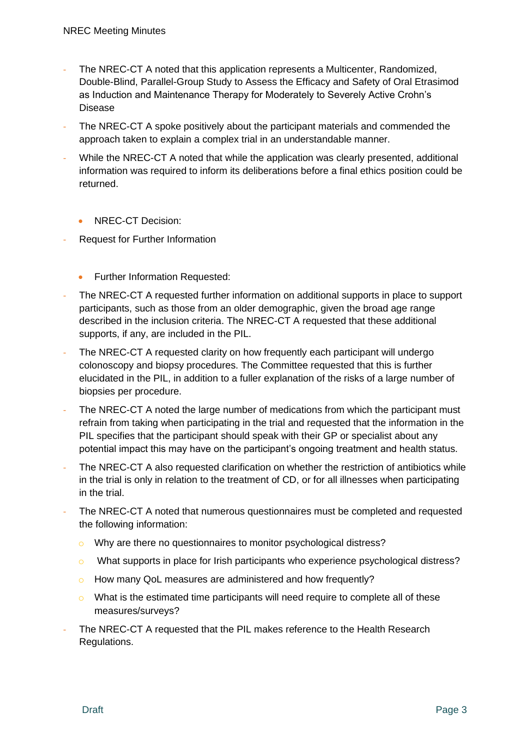- The NREC-CT A noted that this application represents a Multicenter, Randomized, Double-Blind, Parallel-Group Study to Assess the Efficacy and Safety of Oral Etrasimod as Induction and Maintenance Therapy for Moderately to Severely Active Crohn's Disease
- The NREC-CT A spoke positively about the participant materials and commended the approach taken to explain a complex trial in an understandable manner.
- While the NREC-CT A noted that while the application was clearly presented, additional information was required to inform its deliberations before a final ethics position could be returned.
	- NREC-CT Decision:
- Request for Further Information
	- Further Information Requested:
- The NREC-CT A requested further information on additional supports in place to support participants, such as those from an older demographic, given the broad age range described in the inclusion criteria. The NREC-CT A requested that these additional supports, if any, are included in the PIL.
- The NREC-CT A requested clarity on how frequently each participant will undergo colonoscopy and biopsy procedures. The Committee requested that this is further elucidated in the PIL, in addition to a fuller explanation of the risks of a large number of biopsies per procedure.
- The NREC-CT A noted the large number of medications from which the participant must refrain from taking when participating in the trial and requested that the information in the PIL specifies that the participant should speak with their GP or specialist about any potential impact this may have on the participant's ongoing treatment and health status.
- The NREC-CT A also requested clarification on whether the restriction of antibiotics while in the trial is only in relation to the treatment of CD, or for all illnesses when participating in the trial.
- The NREC-CT A noted that numerous questionnaires must be completed and requested the following information:
	- o Why are there no questionnaires to monitor psychological distress?
	- o What supports in place for Irish participants who experience psychological distress?
	- o How many QoL measures are administered and how frequently?
	- $\circ$  What is the estimated time participants will need require to complete all of these measures/surveys?
- The NREC-CT A requested that the PIL makes reference to the Health Research Regulations.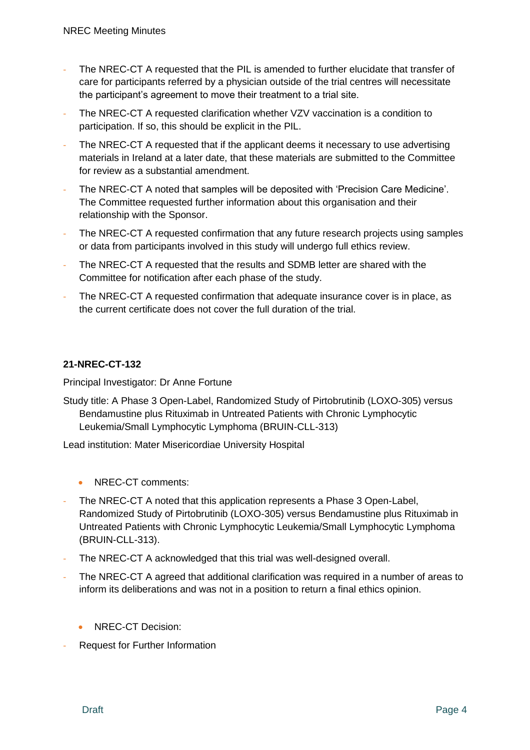- The NREC-CT A requested that the PIL is amended to further elucidate that transfer of care for participants referred by a physician outside of the trial centres will necessitate the participant's agreement to move their treatment to a trial site.
- The NREC-CT A requested clarification whether VZV vaccination is a condition to participation. If so, this should be explicit in the PIL.
- The NREC-CT A requested that if the applicant deems it necessary to use advertising materials in Ireland at a later date, that these materials are submitted to the Committee for review as a substantial amendment.
- The NREC-CT A noted that samples will be deposited with 'Precision Care Medicine'. The Committee requested further information about this organisation and their relationship with the Sponsor.
- The NREC-CT A requested confirmation that any future research projects using samples or data from participants involved in this study will undergo full ethics review.
- The NREC-CT A requested that the results and SDMB letter are shared with the Committee for notification after each phase of the study.
- The NREC-CT A requested confirmation that adequate insurance cover is in place, as the current certificate does not cover the full duration of the trial.

Principal Investigator: Dr Anne Fortune

Study title: A Phase 3 Open-Label, Randomized Study of Pirtobrutinib (LOXO-305) versus Bendamustine plus Rituximab in Untreated Patients with Chronic Lymphocytic Leukemia/Small Lymphocytic Lymphoma (BRUIN-CLL-313)

Lead institution: Mater Misericordiae University Hospital

- NREC-CT comments:
- The NREC-CT A noted that this application represents a Phase 3 Open-Label, Randomized Study of Pirtobrutinib (LOXO-305) versus Bendamustine plus Rituximab in Untreated Patients with Chronic Lymphocytic Leukemia/Small Lymphocytic Lymphoma (BRUIN-CLL-313).
- The NREC-CT A acknowledged that this trial was well-designed overall.
- The NREC-CT A agreed that additional clarification was required in a number of areas to inform its deliberations and was not in a position to return a final ethics opinion.
	- NREC-CT Decision:
- Request for Further Information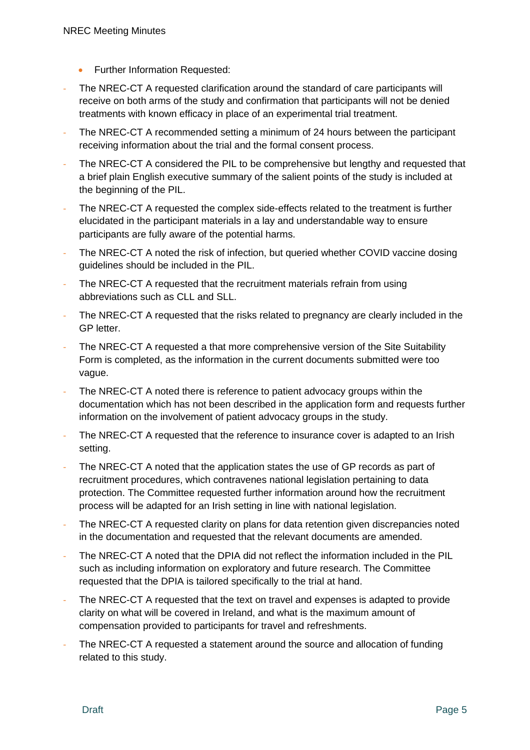- Further Information Requested:
- The NREC-CT A requested clarification around the standard of care participants will receive on both arms of the study and confirmation that participants will not be denied treatments with known efficacy in place of an experimental trial treatment.
- The NREC-CT A recommended setting a minimum of 24 hours between the participant receiving information about the trial and the formal consent process.
- The NREC-CT A considered the PIL to be comprehensive but lengthy and requested that a brief plain English executive summary of the salient points of the study is included at the beginning of the PIL.
- The NREC-CT A requested the complex side-effects related to the treatment is further elucidated in the participant materials in a lay and understandable way to ensure participants are fully aware of the potential harms.
- The NREC-CT A noted the risk of infection, but queried whether COVID vaccine dosing guidelines should be included in the PIL.
- The NREC-CT A requested that the recruitment materials refrain from using abbreviations such as CLL and SLL.
- The NREC-CT A requested that the risks related to pregnancy are clearly included in the GP letter.
- The NREC-CT A requested a that more comprehensive version of the Site Suitability Form is completed, as the information in the current documents submitted were too vague.
- The NREC-CT A noted there is reference to patient advocacy groups within the documentation which has not been described in the application form and requests further information on the involvement of patient advocacy groups in the study.
- The NREC-CT A requested that the reference to insurance cover is adapted to an Irish setting.
- The NREC-CT A noted that the application states the use of GP records as part of recruitment procedures, which contravenes national legislation pertaining to data protection. The Committee requested further information around how the recruitment process will be adapted for an Irish setting in line with national legislation.
- The NREC-CT A requested clarity on plans for data retention given discrepancies noted in the documentation and requested that the relevant documents are amended.
- The NREC-CT A noted that the DPIA did not reflect the information included in the PIL such as including information on exploratory and future research. The Committee requested that the DPIA is tailored specifically to the trial at hand.
- The NREC-CT A requested that the text on travel and expenses is adapted to provide clarity on what will be covered in Ireland, and what is the maximum amount of compensation provided to participants for travel and refreshments.
- The NREC-CT A requested a statement around the source and allocation of funding related to this study.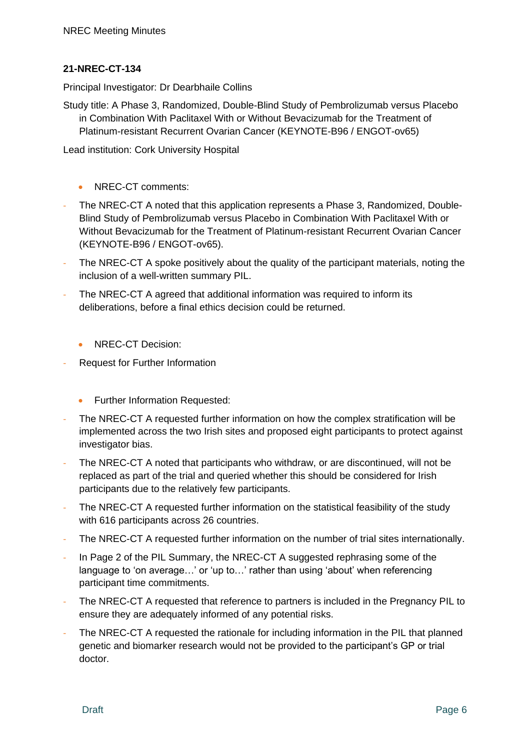Principal Investigator: Dr Dearbhaile Collins

Study title: A Phase 3, Randomized, Double-Blind Study of Pembrolizumab versus Placebo in Combination With Paclitaxel With or Without Bevacizumab for the Treatment of Platinum-resistant Recurrent Ovarian Cancer (KEYNOTE-B96 / ENGOT-ov65)

Lead institution: Cork University Hospital

- NREC-CT comments:
- The NREC-CT A noted that this application represents a Phase 3, Randomized, Double-Blind Study of Pembrolizumab versus Placebo in Combination With Paclitaxel With or Without Bevacizumab for the Treatment of Platinum-resistant Recurrent Ovarian Cancer (KEYNOTE-B96 / ENGOT-ov65).
- The NREC-CT A spoke positively about the quality of the participant materials, noting the inclusion of a well-written summary PIL.
- The NREC-CT A agreed that additional information was required to inform its deliberations, before a final ethics decision could be returned.
	- NREC-CT Decision:
- Request for Further Information
	- Further Information Requested:
- The NREC-CT A requested further information on how the complex stratification will be implemented across the two Irish sites and proposed eight participants to protect against investigator bias.
- The NREC-CT A noted that participants who withdraw, or are discontinued, will not be replaced as part of the trial and queried whether this should be considered for Irish participants due to the relatively few participants.
- The NREC-CT A requested further information on the statistical feasibility of the study with 616 participants across 26 countries.
- The NREC-CT A requested further information on the number of trial sites internationally.
- In Page 2 of the PIL Summary, the NREC-CT A suggested rephrasing some of the language to 'on average…' or 'up to…' rather than using 'about' when referencing participant time commitments.
- The NREC-CT A requested that reference to partners is included in the Pregnancy PIL to ensure they are adequately informed of any potential risks.
- The NREC-CT A requested the rationale for including information in the PIL that planned genetic and biomarker research would not be provided to the participant's GP or trial doctor.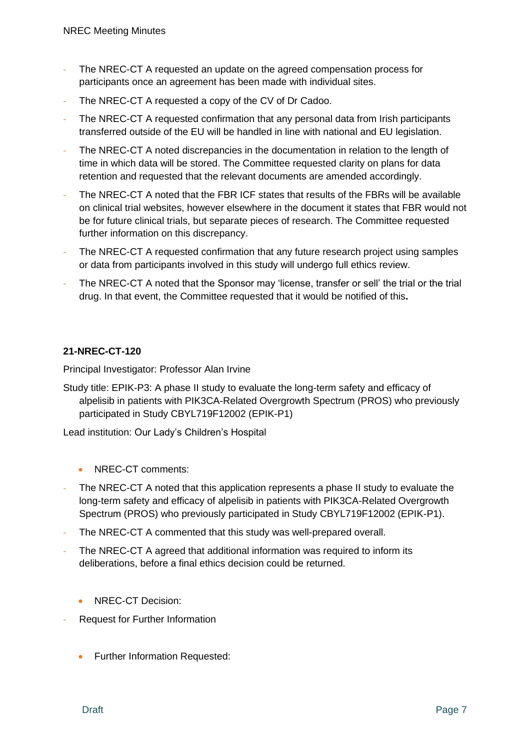- The NREC-CT A requested an update on the agreed compensation process for participants once an agreement has been made with individual sites.
- The NREC-CT A requested a copy of the CV of Dr Cadoo.
- The NREC-CT A requested confirmation that any personal data from Irish participants transferred outside of the EU will be handled in line with national and EU legislation.
- The NREC-CT A noted discrepancies in the documentation in relation to the length of time in which data will be stored. The Committee requested clarity on plans for data retention and requested that the relevant documents are amended accordingly.
- The NREC-CT A noted that the FBR ICF states that results of the FBRs will be available on clinical trial websites, however elsewhere in the document it states that FBR would not be for future clinical trials, but separate pieces of research. The Committee requested further information on this discrepancy.
- The NREC-CT A requested confirmation that any future research project using samples or data from participants involved in this study will undergo full ethics review.
- The NREC-CT A noted that the Sponsor may 'license, transfer or sell' the trial or the trial drug. In that event, the Committee requested that it would be notified of this**.**

Principal Investigator: Professor Alan Irvine

Study title: EPIK-P3: A phase II study to evaluate the long-term safety and efficacy of alpelisib in patients with PIK3CA-Related Overgrowth Spectrum (PROS) who previously participated in Study CBYL719F12002 (EPIK-P1)

Lead institution: Our Lady's Children's Hospital

- NREC-CT comments:
- The NREC-CT A noted that this application represents a phase II study to evaluate the long-term safety and efficacy of alpelisib in patients with PIK3CA-Related Overgrowth Spectrum (PROS) who previously participated in Study CBYL719F12002 (EPIK-P1).
- The NREC-CT A commented that this study was well-prepared overall.
- The NREC-CT A agreed that additional information was required to inform its deliberations, before a final ethics decision could be returned.
	- NREC-CT Decision:
- Request for Further Information
	- Further Information Requested: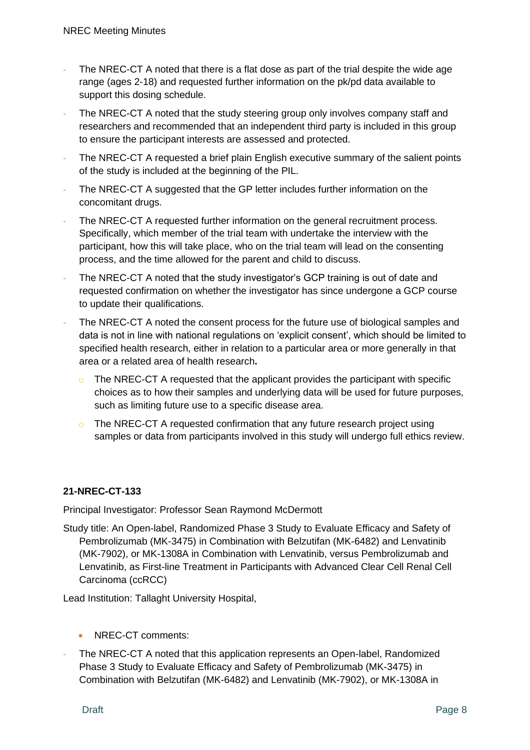- The NREC-CT A noted that there is a flat dose as part of the trial despite the wide age range (ages 2-18) and requested further information on the pk/pd data available to support this dosing schedule.
- The NREC-CT A noted that the study steering group only involves company staff and researchers and recommended that an independent third party is included in this group to ensure the participant interests are assessed and protected.
- The NREC-CT A requested a brief plain English executive summary of the salient points of the study is included at the beginning of the PIL.
- The NREC-CT A suggested that the GP letter includes further information on the concomitant drugs.
- The NREC-CT A requested further information on the general recruitment process. Specifically, which member of the trial team with undertake the interview with the participant, how this will take place, who on the trial team will lead on the consenting process, and the time allowed for the parent and child to discuss.
- The NREC-CT A noted that the study investigator's GCP training is out of date and requested confirmation on whether the investigator has since undergone a GCP course to update their qualifications.
- The NREC-CT A noted the consent process for the future use of biological samples and data is not in line with national regulations on 'explicit consent', which should be limited to specified health research, either in relation to a particular area or more generally in that area or a related area of health research**.** 
	- $\circ$  The NREC-CT A requested that the applicant provides the participant with specific choices as to how their samples and underlying data will be used for future purposes, such as limiting future use to a specific disease area.
	- o The NREC-CT A requested confirmation that any future research project using samples or data from participants involved in this study will undergo full ethics review.

Principal Investigator: Professor Sean Raymond McDermott

Study title: An Open-label, Randomized Phase 3 Study to Evaluate Efficacy and Safety of Pembrolizumab (MK-3475) in Combination with Belzutifan (MK-6482) and Lenvatinib (MK-7902), or MK-1308A in Combination with Lenvatinib, versus Pembrolizumab and Lenvatinib, as First-line Treatment in Participants with Advanced Clear Cell Renal Cell Carcinoma (ccRCC)

Lead Institution: Tallaght University Hospital,

- NREC-CT comments:
- The NREC-CT A noted that this application represents an Open-label, Randomized Phase 3 Study to Evaluate Efficacy and Safety of Pembrolizumab (MK-3475) in Combination with Belzutifan (MK-6482) and Lenvatinib (MK-7902), or MK-1308A in